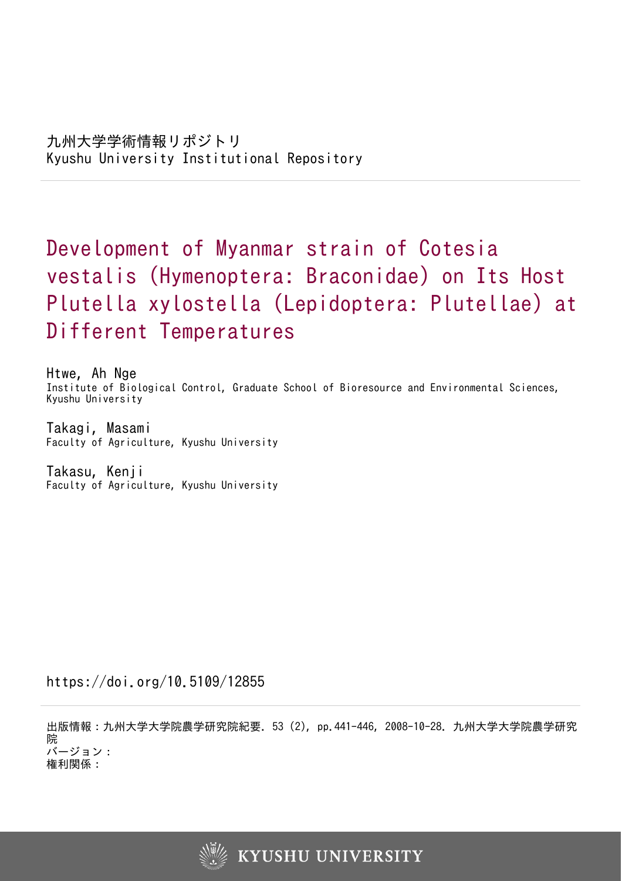# Development of Myanmar strain of Cotesia vestalis (Hymenoptera: Braconidae) on Its Host Plutella xylostella (Lepidoptera: Plutellae) at Different Temperatures

Htwe, Ah Nge Institute of Biological Control, Graduate School of Bioresource and Environmental Sciences, Kyushu University

Takagi, Masami Faculty of Agriculture, Kyushu University

Takasu, Kenji Faculty of Agriculture, Kyushu University

https://doi.org/10.5109/12855

出版情報:九州大学大学院農学研究院紀要. 53 (2), pp.441-446, 2008-10-28. 九州大学大学院農学研究 院 バージョン: 権利関係:

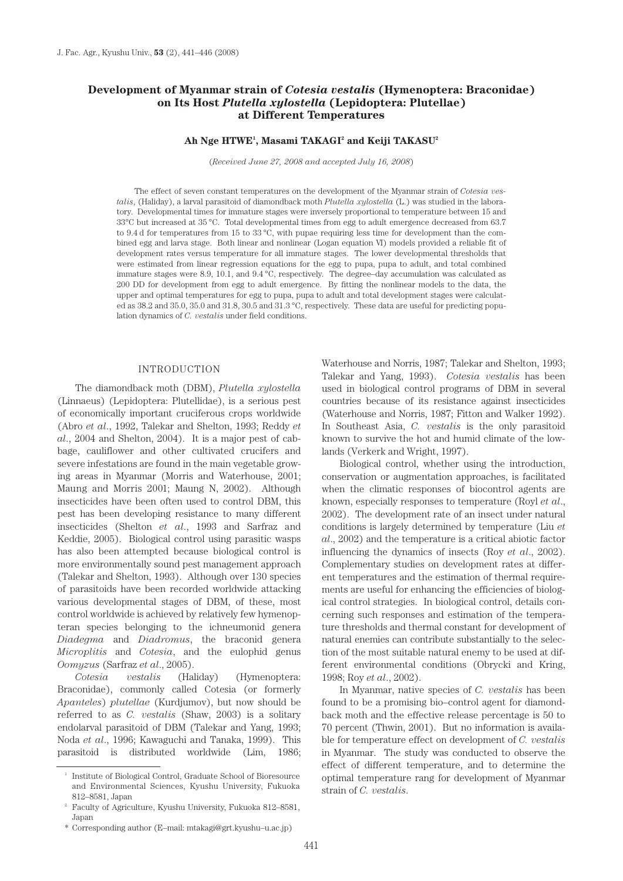# **Development of Myanmar strain of** *Cotesia vestalis* **(Hymenoptera: Braconidae) on Its Host** *Plutella xylostella* **(Lepidoptera: Plutellae) at Different Temperatures**

### Ah Nge HTWE<sup>1</sup>, Masami TAKAGI<sup>2</sup> and Keiji TAKASU<sup>2</sup>

(*Received June 27, 2008 and accepted July 16, 2008*)

The effect of seven constant temperatures on the development of the Myanmar strain of *Cotesia vestalis*, (Haliday), a larval parasitoid of diamondback moth *Plutella xylostella* (L.) was studied in the laboratory. Developmental times for immature stages were inversely proportional to temperature between 15 and 33°C but increased at 35 °C. Total developmental times from egg to adult emergence decreased from 63.7 to 9.4 d for temperatures from 15 to 33 °C, with pupae requiring less time for development than the combined egg and larva stage. Both linear and nonlinear (Logan equation VI) models provided a reliable fit of development rates versus temperature for all immature stages. The lower developmental thresholds that were estimated from linear regression equations for the egg to pupa, pupa to adult, and total combined immature stages were 8.9, 10.1, and 9.4 °C, respectively. The degree–day accumulation was calculated as 200 DD for development from egg to adult emergence. By fitting the nonlinear models to the data, the upper and optimal temperatures for egg to pupa, pupa to adult and total development stages were calculated as 38.2 and 35.0, 35.0 and 31.8, 30.5 and 31.3 °C, respectively. These data are useful for predicting population dynamics of *C. vestalis* under field conditions.

#### INTRODUCTION

The diamondback moth (DBM), *Plutella xylostella*  (Linnaeus) (Lepidoptera: Plutellidae), is a serious pest of economically important cruciferous crops worldwide (Abro *et al*., 1992, Talekar and Shelton, 1993; Reddy *et al*., 2004 and Shelton, 2004). It is a major pest of cabbage, cauliflower and other cultivated crucifers and severe infestations are found in the main vegetable growing areas in Myanmar (Morris and Waterhouse, 2001; Maung and Morris 2001; Maung N, 2002). Although insecticides have been often used to control DBM, this pest has been developing resistance to many different insecticides (Shelton *et al*., 1993 and Sarfraz and Keddie, 2005). Biological control using parasitic wasps has also been attempted because biological control is more environmentally sound pest management approach (Talekar and Shelton, 1993). Although over 130 species of parasitoids have been recorded worldwide attacking various developmental stages of DBM, of these, most control worldwide is achieved by relatively few hymenopteran species belonging to the ichneumonid genera *Diadegma* and *Diadromus*, the braconid genera *Microplitis* and *Cotesia*, and the eulophid genus *Oomyzus* (Sarfraz *et al*., 2005).

*Cotesia vestalis* (Haliday) (Hymenoptera: Braconidae), commonly called Cotesia (or formerly *Apanteles*) *plutellae* (Kurdjumov), but now should be referred to as *C. vestalis* (Shaw, 2003) is a solitary endolarval parasitoid of DBM (Talekar and Yang, 1993; Noda *et al*., 1996; Kawaguchi and Tanaka, 1999). This parasitoid is distributed worldwide (Lim, 1986; Waterhouse and Norris, 1987; Talekar and Shelton, 1993; Talekar and Yang, 1993). *Cotesia vestalis* has been used in biological control programs of DBM in several countries because of its resistance against insecticides (Waterhouse and Norris, 1987; Fitton and Walker 1992). In Southeast Asia, *C. vestalis* is the only parasitoid known to survive the hot and humid climate of the lowlands (Verkerk and Wright, 1997).

Biological control, whether using the introduction, conservation or augmentation approaches, is facilitated when the climatic responses of biocontrol agents are known, especially responses to temperature (Royl *et al*., 2002). The development rate of an insect under natural conditions is largely determined by temperature (Liu *et al*., 2002) and the temperature is a critical abiotic factor influencing the dynamics of insects (Roy *et al*., 2002). Complementary studies on development rates at different temperatures and the estimation of thermal requirements are useful for enhancing the efficiencies of biological control strategies. In biological control, details concerning such responses and estimation of the temperature thresholds and thermal constant for development of natural enemies can contribute substantially to the selection of the most suitable natural enemy to be used at different environmental conditions (Obrycki and Kring, 1998; Roy *et al*., 2002).

In Myanmar, native species of *C. vestalis* has been found to be a promising bio–control agent for diamondback moth and the effective release percentage is 50 to 70 percent (Thwin, 2001). But no information is available for temperature effect on development of *C. vestalis*  in Myanmar. The study was conducted to observe the effect of different temperature, and to determine the optimal temperature rang for development of Myanmar strain of *C. vestalis*.

<sup>1</sup> Institute of Biological Control, Graduate School of Bioresource and Environmental Sciences, Kyushu University, Fukuoka 812–8581, Japan

<sup>2</sup> Faculty of Agriculture, Kyushu University, Fukuoka 812–8581, Japan

<sup>\*</sup> Corresponding author (E–mail: mtakagi@grt.kyushu–u.ac.jp)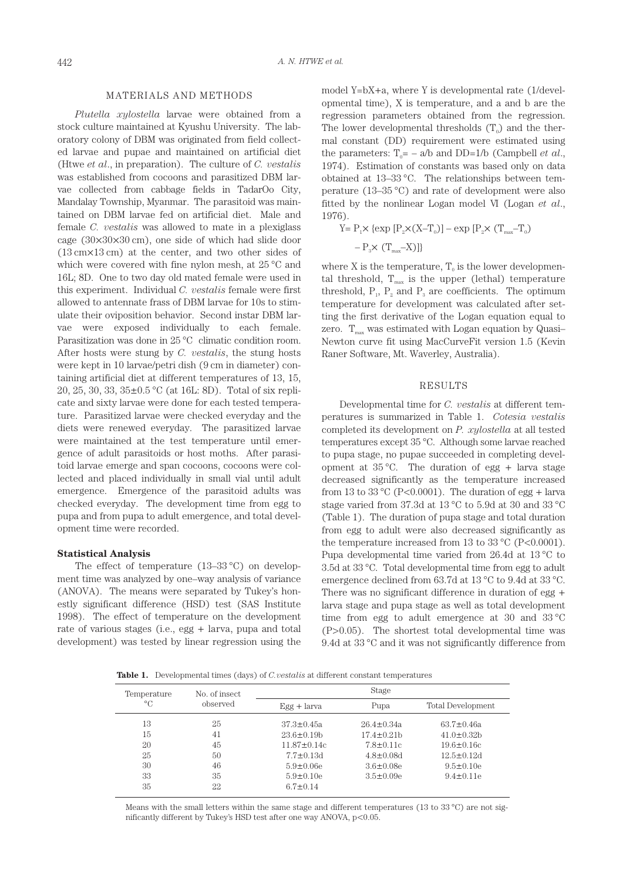#### MATERIALS AND METHODS

*Plutella xylostella* larvae were obtained from a stock culture maintained at Kyushu University. The laboratory colony of DBM was originated from field collected larvae and pupae and maintained on artificial diet (Htwe *et al*., in preparation). The culture of *C. vestalis*  was established from cocoons and parasitized DBM larvae collected from cabbage fields in TadarOo City, Mandalay Township, Myanmar. The parasitoid was maintained on DBM larvae fed on artificial diet. Male and female *C. vestalis* was allowed to mate in a plexiglass cage (30×30×30 cm), one side of which had slide door (13 cm×13 cm) at the center, and two other sides of which were covered with fine nylon mesh, at 25 °C and 16L; 8D. One to two day old mated female were used in this experiment. Individual *C. vestalis* female were first allowed to antennate frass of DBM larvae for 10s to stimulate their oviposition behavior. Second instar DBM larvae were exposed individually to each female. Parasitization was done in 25 °C climatic condition room. After hosts were stung by *C. vestalis*, the stung hosts were kept in 10 larvae/petri dish (9 cm in diameter) containing artificial diet at different temperatures of 13, 15, 20, 25, 30, 33, 35±0.5 °C (at 16L: 8D). Total of six replicate and sixty larvae were done for each tested temperature. Parasitized larvae were checked everyday and the diets were renewed everyday. The parasitized larvae were maintained at the test temperature until emergence of adult parasitoids or host moths. After parasitoid larvae emerge and span cocoons, cocoons were collected and placed individually in small vial until adult emergence. Emergence of the parasitoid adults was checked everyday. The development time from egg to pupa and from pupa to adult emergence, and total development time were recorded.

## **Statistical Analysis**

The effect of temperature  $(13-33 \degree C)$  on development time was analyzed by one–way analysis of variance (ANOVA). The means were separated by Tukey's honestly significant difference (HSD) test (SAS Institute 1998). The effect of temperature on the development rate of various stages (i.e., egg + larva, pupa and total development) was tested by linear regression using the model Y=bX+a, where Y is developmental rate (1/developmental time), X is temperature, and a and b are the regression parameters obtained from the regression. The lower developmental thresholds  $(T_0)$  and the thermal constant (DD) requirement were estimated using the parameters:  $T_0 = -a/b$  and DD=1/b (Campbell *et al.*, 1974). Estimation of constants was based only on data obtained at 13–33 °C. The relationships between temperature (13–35 °C) and rate of development were also fitted by the nonlinear Logan model VI (Logan *et al*., 1976).

$$
\begin{aligned} Y & = P_1 \times \{ \exp\,\left[P_2 \times (X{-}T_o)\right] - \exp\,\left[P_2 \times\, (T_{\max}{-}T_o)\right. \\ & \quad - P_3 \times\, (T_{\max}{-}X)\} \} \end{aligned}
$$

where X is the temperature,  $T_0$  is the lower developmental threshold,  $T_{max}$  is the upper (lethal) temperature threshold,  $P_1$ ,  $P_2$  and  $P_3$  are coefficients. The optimum temperature for development was calculated after setting the first derivative of the Logan equation equal to zero.  $T_{\text{max}}$  was estimated with Logan equation by Quasi-Newton curve fit using MacCurveFit version 1.5 (Kevin Raner Software, Mt. Waverley, Australia).

#### RESULTS

Developmental time for *C. vestalis* at different temperatures is summarized in Table 1. *Cotesia vestalis*  completed its development on *P. xylostella* at all tested temperatures except 35 °C. Although some larvae reached to pupa stage, no pupae succeeded in completing development at  $35^{\circ}$ C. The duration of egg + larva stage decreased significantly as the temperature increased from 13 to 33 °C (P<0.0001). The duration of egg  $+$  larva stage varied from 37.3d at 13 °C to 5.9d at 30 and 33 °C (Table 1). The duration of pupa stage and total duration from egg to adult were also decreased significantly as the temperature increased from 13 to 33 °C (P<0.0001). Pupa developmental time varied from 26.4d at 13 °C to 3.5d at 33 °C. Total developmental time from egg to adult emergence declined from 63.7d at 13 °C to 9.4d at 33 °C. There was no significant difference in duration of egg + larva stage and pupa stage as well as total development time from egg to adult emergence at 30 and 33 °C (P>0.05). The shortest total developmental time was 9.4d at 33 °C and it was not significantly difference from

**Table 1.** Developmental times (days) of *C.vestalis* at different constant temperatures

| Temperature | No. of insect | Stage             |                   |                          |  |  |
|-------------|---------------|-------------------|-------------------|--------------------------|--|--|
| $^{\circ}C$ | observed      | $Egg + larva$     | Pupa              | <b>Total Development</b> |  |  |
| 13          | 25            | $37.3 \pm 0.45a$  | $26.4 \pm 0.34a$  | $63.7 \pm 0.46a$         |  |  |
| 15          | 41            | $23.6 \pm 0.19$   | $17.4 \pm 0.21$ b | $41.0 \pm 0.32$ b        |  |  |
| 20          | 45            | $11.87 \pm 0.14c$ | $7.8 \pm 0.11c$   | $19.6 \pm 0.16c$         |  |  |
| 25          | 50            | $7.7 \pm 0.13$ d  | $4.8 \pm 0.08$ d  | $12.5 \pm 0.12d$         |  |  |
| 30          | 46            | $5.9 \pm 0.06$ e  | $3.6 \pm 0.08$ e  | $9.5 \pm 0.10$ e         |  |  |
| 33          | 35            | $5.9 \pm 0.10$ e  | $3.5 \pm 0.09e$   | $9.4 \pm 0.11$ e         |  |  |
| 35          | 22            | $6.7 \pm 0.14$    |                   |                          |  |  |
|             |               |                   |                   |                          |  |  |

Means with the small letters within the same stage and different temperatures (13 to 33 °C) are not significantly different by Tukey's HSD test after one way ANOVA, p<0.05.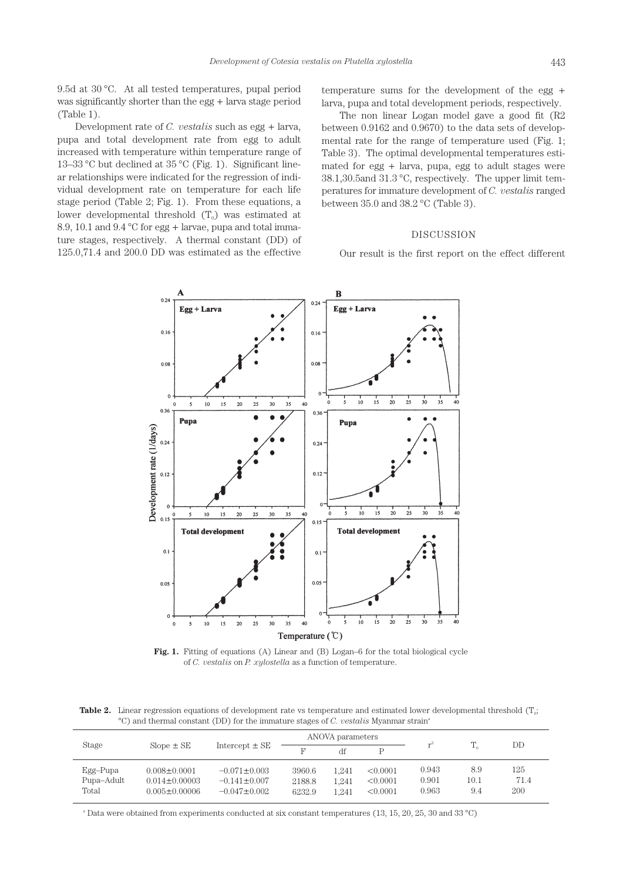9.5d at 30 °C. At all tested temperatures, pupal period was significantly shorter than the egg + larva stage period (Table 1).

Development rate of *C. vestalis* such as egg + larva, pupa and total development rate from egg to adult increased with temperature within temperature range of 13–33 °C but declined at 35 °C (Fig. 1). Significant linear relationships were indicated for the regression of individual development rate on temperature for each life stage period (Table 2; Fig. 1). From these equations, a lower developmental threshold  $(T_0)$  was estimated at 8.9, 10.1 and 9.4 °C for egg + larvae, pupa and total immature stages, respectively. A thermal constant (DD) of 125.0,71.4 and 200.0 DD was estimated as the effective

temperature sums for the development of the egg + larva, pupa and total development periods, respectively.

The non linear Logan model gave a good fit (R2 between 0.9162 and 0.9670) to the data sets of developmental rate for the range of temperature used (Fig. 1; Table 3). The optimal developmental temperatures estimated for egg + larva, pupa, egg to adult stages were 38.1,30.5and 31.3 °C, respectively. The upper limit temperatures for immature development of *C. vestalis* ranged between 35.0 and 38.2 °C (Table 3).

# DISCUSSION

Our result is the first report on the effect different



**Fig. 1.** Fitting of equations (A) Linear and (B) Logan–6 for the total biological cycle of *C. vestalis* on *P. xylostella* as a function of temperature.

**Table 2.** Linear regression equations of development rate vs temperature and estimated lower developmental threshold  $(T_0;$ °C) and thermal constant (DD) for the immature stages of *C. vestalis* Myanmar strain<sup>®</sup>

| Stage                             | $Slope \pm SE$                                                   | Intercept $\pm$ SE                                             | ANOVA parameters           |                         |                                  |                         |                    |                    |
|-----------------------------------|------------------------------------------------------------------|----------------------------------------------------------------|----------------------------|-------------------------|----------------------------------|-------------------------|--------------------|--------------------|
|                                   |                                                                  |                                                                | F                          | df                      |                                  |                         | $T_{\alpha}$       | DD                 |
| $Egg-Pupa$<br>Pupa-Adult<br>Total | $0.008 \pm 0.0001$<br>$0.014 \pm 0.00003$<br>$0.005 \pm 0.00006$ | $-0.071 \pm 0.003$<br>$-0.141 \pm 0.007$<br>$-0.047 \pm 0.002$ | 3960.6<br>2188.8<br>6232.9 | 1.241<br>1.241<br>1.241 | < 0.0001<br>< 0.0001<br>< 0.0001 | 0.943<br>0.901<br>0.963 | 8.9<br>10.1<br>9.4 | 125<br>71.4<br>200 |

a Data were obtained from experiments conducted at six constant temperatures (13, 15, 20, 25, 30 and 33 °C)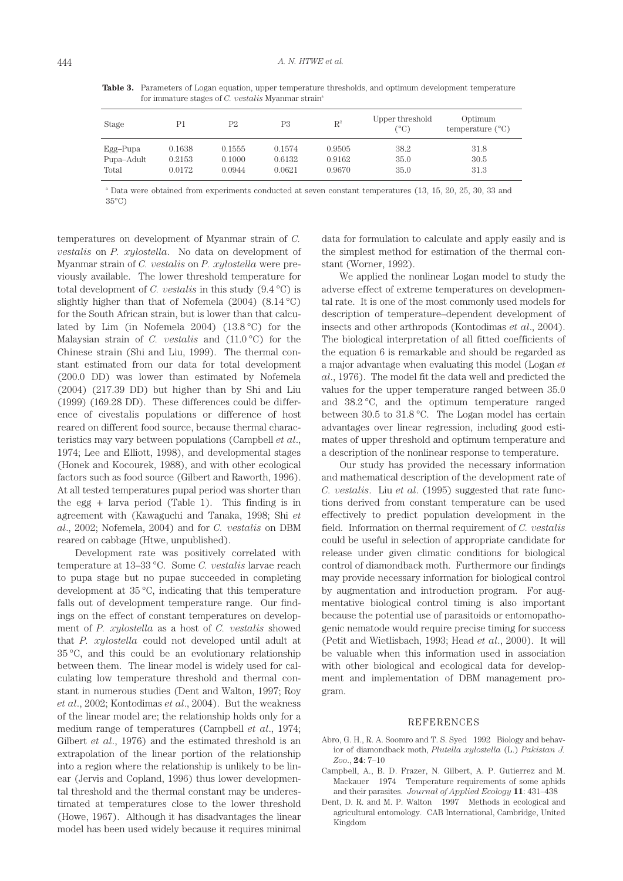**Table 3.** Parameters of Logan equation, upper temperature thresholds, and optimum development temperature for immature stages of *C. vestalis* Myanmar strain<sup>®</sup>

| Stage      | P1     | P2     | P <sub>3</sub> | $\mathbf{R}^2$ | Upper threshold<br>(°C) | Optimum<br>temperature $(^{\circ}C)$ |
|------------|--------|--------|----------------|----------------|-------------------------|--------------------------------------|
| Egg–Pupa   | 0.1638 | 0.1555 | 0.1574         | 0.9505         | 38.2                    | 31.8                                 |
| Pupa-Adult | 0.2153 | 0.1000 | 0.6132         | 0.9162         | 35.0                    | 30.5                                 |
| Total      | 0.0172 | 0.0944 | 0.0621         | 0.9670         | 35.0                    | 31.3                                 |

a Data were obtained from experiments conducted at seven constant temperatures (13, 15, 20, 25, 30, 33 and 35°C)

temperatures on development of Myanmar strain of *C. vestalis* on *P. xylostella*. No data on development of Myanmar strain of *C. vestalis* on *P. xylostella* were previously available. The lower threshold temperature for total development of *C. vestalis* in this study (9.4 °C) is slightly higher than that of Nofemela  $(2004)$   $(8.14 °C)$ for the South African strain, but is lower than that calculated by Lim (in Nofemela 2004) (13.8 °C) for the Malaysian strain of *C. vestalis* and (11.0 °C) for the Chinese strain (Shi and Liu, 1999). The thermal constant estimated from our data for total development (200.0 DD) was lower than estimated by Nofemela (2004) (217.39 DD) but higher than by Shi and Liu (1999) (169.28 DD). These differences could be difference of civestalis populations or difference of host reared on different food source, because thermal characteristics may vary between populations (Campbell *et al*., 1974; Lee and Elliott, 1998), and developmental stages (Honek and Kocourek, 1988), and with other ecological factors such as food source (Gilbert and Raworth, 1996). At all tested temperatures pupal period was shorter than the egg + larva period (Table 1). This finding is in agreement with (Kawaguchi and Tanaka, 1998; Shi *et al*., 2002; Nofemela, 2004) and for *C. vestalis* on DBM reared on cabbage (Htwe, unpublished).

Development rate was positively correlated with temperature at 13–33 °C. Some *C. vestalis* larvae reach to pupa stage but no pupae succeeded in completing development at 35 °C, indicating that this temperature falls out of development temperature range. Our findings on the effect of constant temperatures on development of *P. xylostella* as a host of *C. vestalis* showed that *P. xylostella* could not developed until adult at 35 °C, and this could be an evolutionary relationship between them. The linear model is widely used for calculating low temperature threshold and thermal constant in numerous studies (Dent and Walton, 1997; Roy *et al*., 2002; Kontodimas *et al*., 2004). But the weakness of the linear model are; the relationship holds only for a medium range of temperatures (Campbell *et al*., 1974; Gilbert *et al*., 1976) and the estimated threshold is an extrapolation of the linear portion of the relationship into a region where the relationship is unlikely to be linear (Jervis and Copland, 1996) thus lower developmental threshold and the thermal constant may be underestimated at temperatures close to the lower threshold (Howe, 1967). Although it has disadvantages the linear model has been used widely because it requires minimal data for formulation to calculate and apply easily and is the simplest method for estimation of the thermal constant (Worner, 1992).

We applied the nonlinear Logan model to study the adverse effect of extreme temperatures on developmental rate. It is one of the most commonly used models for description of temperature–dependent development of insects and other arthropods (Kontodimas *et al*., 2004). The biological interpretation of all fitted coefficients of the equation 6 is remarkable and should be regarded as a major advantage when evaluating this model (Logan *et al*., 1976). The model fit the data well and predicted the values for the upper temperature ranged between 35.0 and 38.2 °C, and the optimum temperature ranged between 30.5 to 31.8 °C. The Logan model has certain advantages over linear regression, including good estimates of upper threshold and optimum temperature and a description of the nonlinear response to temperature.

Our study has provided the necessary information and mathematical description of the development rate of *C. vestalis*. Liu *et al*. (1995) suggested that rate functions derived from constant temperature can be used effectively to predict population development in the field. Information on thermal requirement of *C. vestalis*  could be useful in selection of appropriate candidate for release under given climatic conditions for biological control of diamondback moth. Furthermore our findings may provide necessary information for biological control by augmentation and introduction program. For augmentative biological control timing is also important because the potential use of parasitoids or entomopathogenic nematode would require precise timing for success (Petit and Wietlisbach, 1993; Head *et al*., 2000). It will be valuable when this information used in association with other biological and ecological data for development and implementation of DBM management program.

#### REFERENCES

- Abro, G. H., R. A. Soomro and T. S. Syed 1992 Biology and behavior of diamondback moth, *Plutella xylostella* (L.) *Pakistan J. Zoo*., **24**: 7–10
- Campbell, A., B. D. Frazer, N. Gilbert, A. P. Gutierrez and M. Mackauer 1974 Temperature requirements of some aphids and their parasites. *Journal of Applied Ecology* **11**: 431–438
- Dent, D. R. and M. P. Walton 1997 Methods in ecological and agricultural entomology. CAB International, Cambridge, United Kingdom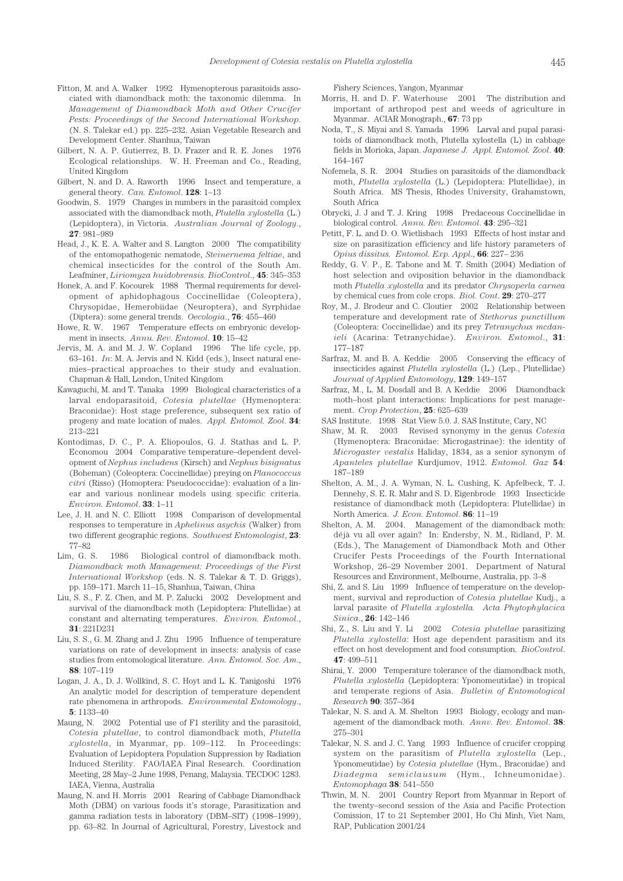- Fitton, M. and A. Walker 1992 Hymenopterous parasitoids associated with diamondback moth: the taxonomic dilemma. In *Management of Diamondback Moth and Other Crucifer Pests: Proceedings of the Second International Workshop*. (N. S. Talekar ed.) pp. 225–232. Asian Vegetable Research and Development Center. Shanhua, Taiwan
- Gilbert, N. A. P. Gutierrez, B. D. Frazer and R. E. Jones 1976 Ecological relationships. W. H. Freeman and Co., Reading, United Kingdom
- Gilbert, N. and D. A. Raworth 1996 Insect and temperature, a general theory. *Can. Entomol*. **128**: 1–13
- Goodwin, S. 1979 Changes in numbers in the parasitoid complex associated with the diamondback moth, *Plutella xylostella* (L.) (Lepidoptera), in Victoria. *Australian Journal of Zoology*., **27**: 981–989
- Head, J., K. E. A. Walter and S. Langton 2000 The compatibility of the entomopathogenic nematode, *Steinernema feltiae*, and chemical insecticides for the control of the South Am. Leafminer, *Liriomyza huidobrensis. BioControl*., **45**: 345–353
- Honek, A. and F. Kocourek 1988 Thermal requirements for development of aphidophagous Coccinellidae (Coleoptera), Chrysopidae, Hemerobiidae (Neuroptera), and Syrphidae (Diptera): some general trends. *Oecologia*., **76**: 455–460
- Howe, R. W. 1967 Temperature effects on embryonic development in insects. *Annu. Rev. Entomol*. **10**: 15–42
- Jervis, M. A. and M. J. W. Copland 1996 The life cycle, pp. 63–161. *In*: M. A. Jervis and N. Kidd (eds.), Insect natural enemies–practical approaches to their study and evaluation. Chapman & Hall, London, United Kingdom
- Kawaguchi, M. and T. Tanaka 1999 Biological characteristics of a larval endoparasitoid, *Cotesia plutellae* (Hymenoptera: Braconidae): Host stage preference, subsequent sex ratio of progeny and mate location of males. *Appl. Entomol. Zool*. **34**: 213–221
- Kontodimas, D. C., P. A. Eliopoulos, G. J. Stathas and L. P. Economou 2004 Comparative temperature–dependent development of *Nephus includens* (Kirsch) and *Nephus bisignatus*  (Boheman) (Coleoptera: Coccinellidae) preying on *Planococcus citri* (Risso) (Homoptera: Pseudococcidae): evaluation of a linear and various nonlinear models using specific criteria. *Environ. Entomol*. **33**: 1–11
- Lee, J. H. and N. C. Elliott 1998 Comparison of developmental responses to temperature in *Aphelinus asychis* (Walker) from two different geographic regions. *Southwest Entomologist*, **23**: 77–82
- Lim, G. S. 1986 Biological control of diamondback moth. *Diamondback moth Management: Proceedings of the First International Workshop* (eds. N. S. Talekar & T. D. Griggs), pp. 159–171. March 11–15, Shanhua, Taiwan, China
- Liu, S. S., F. Z. Chen, and M. P. Zalucki 2002 Development and survival of the diamondback moth (Lepidoptera: Plutellidae) at constant and alternating temperatures. *Environ. Entomol*., **31**: 221D231
- Liu, S. S., G. M. Zhang and J. Zhu 1995 Influence of temperature variations on rate of development in insects: analysis of case studies from entomological literature. *Ann. Entomol. Soc. Am*., **88**: 107–119
- Logan, J. A., D. J. Wollkind, S. C. Hoyt and L. K. Tanigoshi 1976 An analytic model for description of temperature dependent rate phenomena in arthropods. *Environmental Entomology*., **5**: 1133–40
- Maung, N. 2002 Potential use of F1 sterility and the parasitoid, *Cotesia plutellae*, to control diamondback moth, *Plutella xylostella*, in Myanmar, pp. 109–112. In Proceedings: Evaluation of Lepidoptera Population Suppression by Radiation Induced Sterility. FAO/IAEA Final Research. Coordination Meeting, 28 May–2 June 1998, Penang, Malaysia. TECDOC 1283. IAEA, Vienna, Australia
- Maung, N. and H. Morris 2001 Rearing of Cabbage Diamondback Moth (DBM) on various foods it's storage, Parasitization and gamma radiation tests in laboratory (DBM–SIT) (1998–1999), pp. 63–82. In Journal of Agricultural, Forestry, Livestock and

Fishery Sciences, Yangon, Myanmar

- Morris, H. and D. F. Waterhouse 2001 The distribution and important of arthropod pest and weeds of agriculture in Myanmar. ACIAR Monograph., **67**: 73 pp
- Noda, T., S. Miyai and S. Yamada 1996 Larval and pupal parasitoids of diamondback moth, Plutella xylostella (L) in cabbage fields in Morioka, Japan. *Japanese J. Appl. Entomol. Zool*. **40**: 164–167
- Nofemela, S. R. 2004 Studies on parasitoids of the diamondback moth, *Plutella xylostella* (L.) (Lepidoptera: Plutellidae), in South Africa. MS Thesis, Rhodes University, Grahamstown, South Africa
- Obrycki, J. J and T. J. Kring 1998 Predaceous Coccinellidae in biological control. *Annu. Rev. Entomol*. **43**: 295–321
- Petitt, F. L. and D. O. Wietlisbach 1993 Effects of host instar and size on parasitization efficiency and life history parameters of *Opius dissitus. Entomol. Exp. Appl*., **66**: 227– 236
- Reddy, G. V. P., E. Tabone and M. T. Smith (2004) Mediation of host selection and oviposition behavior in the diamondback moth *Plutella xylostella* and its predator *Chrysoperla carnea* by chemical cues from cole crops. *Biol. Cont*. **29**: 270–277
- Roy, M., J. Brodeur and C. Cloutier 2002 Relationship between temperature and development rate of *Stethorus punctillum* (Coleoptera: Coccinellidae) and its prey *Tetranychus mcdanieli* (Acarina: Tetranychidae). *Environ. Entomol*., **31**: 177–187
- Sarfraz, M. and B. A. Keddie 2005 Conserving the efficacy of insecticides against *Plutella xylostella* (L.) (Lep., Plutellidae) *Journal of Applied Entomology*, **129**: 149–157
- Sarfraz, M., L. M. Dosdall and B. A Keddie 2006 Diamondback moth–host plant interactions: Implications for pest management. *Crop Protection*, **25**: 625–639
- SAS Institute. 1998 Stat View 5.0. J. SAS Institute, Cary, NC
- Shaw, M. R. 2003 Revised synonymy in the genus *Cotesia*  (Hymenoptera: Braconidae: Microgastrinae): the identity of *Microgaster vestalis* Haliday, 1834, as a senior synonym of *Apanteles plutellae* Kurdjumov, 1912. *Entomol. Gaz* **54**: 187–189
- Shelton, A. M., J. A. Wyman, N. L. Cushing, K. Apfelbeck, T. J. Dennehy, S. E. R. Mahr and S. D. Eigenbrode 1993 Insecticide resistance of diamondback moth (Lepidoptera: Plutellidae) in North America. *J. Econ. Entomol*. **86**: 11–19
- Shelton, A. M. 2004. Management of the diamondback moth: déjà vu all over again? In: Endersby, N. M., Ridland, P. M. (Eds.), The Management of Diamondback Moth and Other Crucifer Pests Proceedings of the Fourth International Workshop, 26–29 November 2001. Department of Natural Resources and Environment, Melbourne, Australia, pp. 3–8
- Shi, Z. and S. Liu 1999 Influence of temperature on the development, survival and reproduction of *Cotesia plutellae* Kudj., a larval parasite of *Plutella xylostella. Acta Phytophylacica Sinica*., **26**: 142–146
- Shi, Z., S. Liu and Y. Li 2002 *Cotesia plutellae* parasitizing *Plutella xylostella*: Host age dependent parasitism and its effect on host development and food consumption. *BioControl*. **47**: 499–511
- Shirai, Y. 2000 Temperature tolerance of the diamondback moth, *Plutella xylostella* (Lepidoptera: Yponomeutidae) in tropical and temperate regions of Asia. *Bulletin of Entomological Research* **90**: 357–364
- Talekar, N. S. and A. M. Shelton 1993 Biology, ecology and management of the diamondback moth. *Annv. Rev. Entomol*. **38**: 275–301
- Talekar, N. S. and J. C. Yang 1993 Influence of crucifer cropping system on the parasitism of *Plutella xylostella* (Lep., Yponomeutidae) by *Cotesia plutellae* (Hym., Braconidae) and *Diadegma semiclausum* (Hym., Ichneumonidae). *Entomophaga* **38**: 541–550
- Thwin, M. N. 2001 Country Report from Myanmar in Report of the twenty–second session of the Asia and Pacific Protection Comission, 17 to 21 September 2001, Ho Chi Minh, Viet Nam, RAP, Publication 2001/24